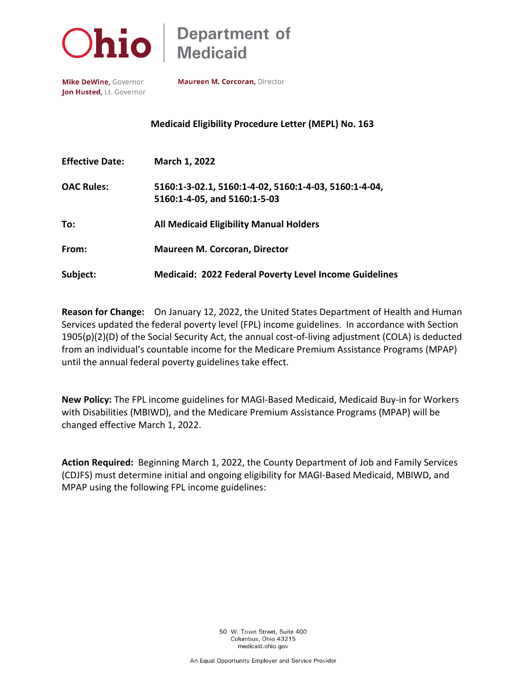

## **Department of** Medicaid

Mike DeWine, Governor Jon Husted, Lt. Governor Maureen M. Corcoran, Director

**Medicaid Eligibility Procedure Letter (MEPL) No. 163**

| <b>Effective Date:</b> | March 1, 2022                                                                         |
|------------------------|---------------------------------------------------------------------------------------|
| <b>OAC Rules:</b>      | 5160:1-3-02.1, 5160:1-4-02, 5160:1-4-03, 5160:1-4-04,<br>5160:1-4-05, and 5160:1-5-03 |
| To:                    | <b>All Medicaid Eligibility Manual Holders</b>                                        |
| From:                  | <b>Maureen M. Corcoran, Director</b>                                                  |
| Subject:               | <b>Medicaid: 2022 Federal Poverty Level Income Guidelines</b>                         |

**Reason for Change:** On January 12, 2022, the United States Department of Health and Human Services updated the federal poverty level (FPL) income guidelines. In accordance with Section 1905(p)(2)(D) of the Social Security Act, the annual cost-of-living adjustment (COLA) is deducted from an individual's countable income for the Medicare Premium Assistance Programs (MPAP) until the annual federal poverty guidelines take effect.

**New Policy:** The FPL income guidelines for MAGI-Based Medicaid, Medicaid Buy-in for Workers with Disabilities (MBIWD), and the Medicare Premium Assistance Programs (MPAP) will be changed effective March 1, 2022.

**Action Required:** Beginning March 1, 2022, the County Department of Job and Family Services (CDJFS) must determine initial and ongoing eligibility for MAGI-Based Medicaid, MBIWD, and MPAP using the following FPL income guidelines: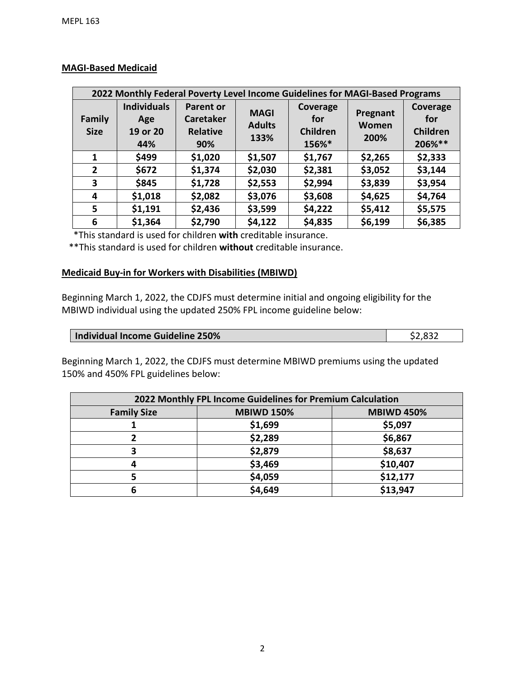| 2022 Monthly Federal Poverty Level Income Guidelines for MAGI-Based Programs |                                              |                                                                |                                      |                                             |                           |                                       |
|------------------------------------------------------------------------------|----------------------------------------------|----------------------------------------------------------------|--------------------------------------|---------------------------------------------|---------------------------|---------------------------------------|
| <b>Family</b><br><b>Size</b>                                                 | <b>Individuals</b><br>Age<br>19 or 20<br>44% | <b>Parent or</b><br><b>Caretaker</b><br><b>Relative</b><br>90% | <b>MAGI</b><br><b>Adults</b><br>133% | Coverage<br>for<br><b>Children</b><br>156%* | Pregnant<br>Women<br>200% | Coverage<br>for<br>Children<br>206%** |
| 1                                                                            | \$499                                        | \$1,020                                                        | \$1,507                              | \$1,767                                     | \$2,265                   | \$2,333                               |
| $\overline{2}$                                                               | \$672                                        | \$1,374                                                        | \$2,030                              | \$2,381                                     | \$3,052                   | \$3,144                               |
| 3                                                                            | \$845                                        | \$1,728                                                        | \$2,553                              | \$2,994                                     | \$3,839                   | \$3,954                               |
| 4                                                                            | \$1,018                                      | \$2,082                                                        | \$3,076                              | \$3,608                                     | \$4,625                   | \$4,764                               |
| 5                                                                            | \$1,191                                      | \$2,436                                                        | \$3,599                              | \$4,222                                     | \$5,412                   | \$5,575                               |
| 6                                                                            | \$1,364                                      | \$2,790                                                        | \$4,122                              | \$4,835                                     | \$6,199                   | \$6,385                               |

## **MAGI-Based Medicaid**

\*This standard is used for children **with** creditable insurance.

\*\*This standard is used for children **without** creditable insurance.

## **Medicaid Buy-in for Workers with Disabilities (MBIWD)**

Beginning March 1, 2022, the CDJFS must determine initial and ongoing eligibility for the MBIWD individual using the updated 250% FPL income guideline below:

| Individual Income Guideline 250% | \$2,832 |
|----------------------------------|---------|

Beginning March 1, 2022, the CDJFS must determine MBIWD premiums using the updated 150% and 450% FPL guidelines below:

| 2022 Monthly FPL Income Guidelines for Premium Calculation |                   |                   |  |  |
|------------------------------------------------------------|-------------------|-------------------|--|--|
| <b>Family Size</b>                                         | <b>MBIWD 150%</b> | <b>MBIWD 450%</b> |  |  |
|                                                            | \$1,699           | \$5,097           |  |  |
|                                                            | \$2,289           | \$6,867           |  |  |
|                                                            | \$2,879           | \$8,637           |  |  |
|                                                            | \$3,469           | \$10,407          |  |  |
|                                                            | \$4,059           | \$12,177          |  |  |
|                                                            | \$4,649           | \$13,947          |  |  |